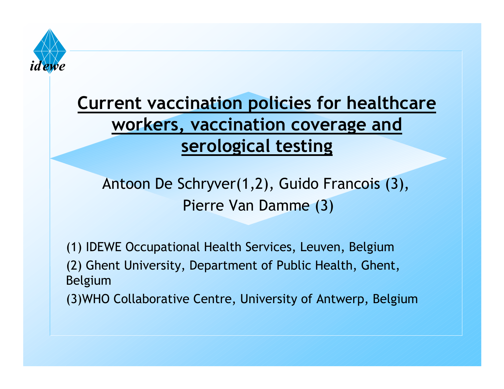

#### **Current vaccination policies for healthcare workers, vaccination coverage and serological testing**

#### Antoon De Schryver(1,2), Guido Francois (3), Pierre Van Damme (3)

(1) IDEWE Occupational Health Services, Leuven, Belgium (2) Ghent University, Department of Public Health, Ghent, Belgium (3)WHO Collaborative Centre, University of Antwerp, Belgium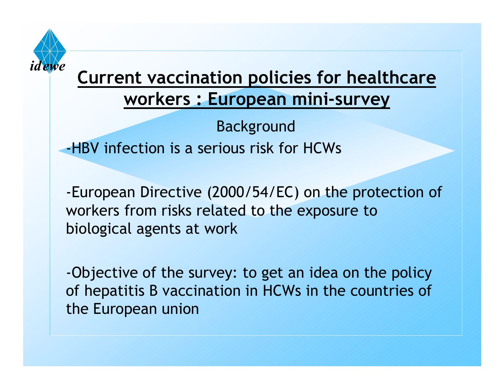

Background -HBV infection is a serious risk for HCWs

-European Directive (2000/54/EC) on the protection of workers from risks related to the exposure to biological agents at work

-Objective of the survey: to get an idea on the policy of hepatitis B vaccination in HCWs in the countries of the European union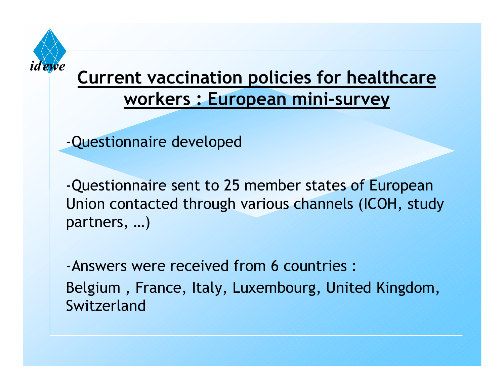

-Questionnaire developed

-Questionnaire sent to 25 member states of European Union contacted through various channels (ICOH, study partners, …)

-Answers were received from 6 countries :Belgium , France, Italy, Luxembourg, United Kingdom, Switzerland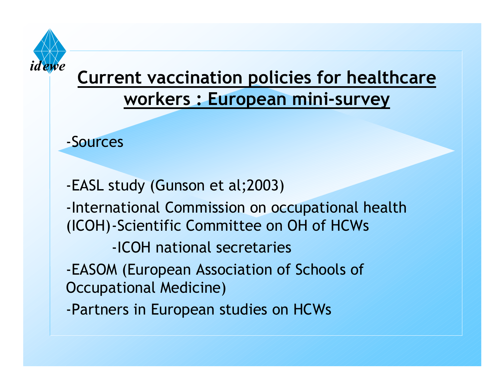

-Sources

-EASL study (Gunson et al;2003) -International Commission on occupational health (ICOH)-Scientific Committee on OH of HCWs -ICOH national secretaries-EASOM (European Association of Schools of Occupational Medicine) -Partners in European studies on HCWs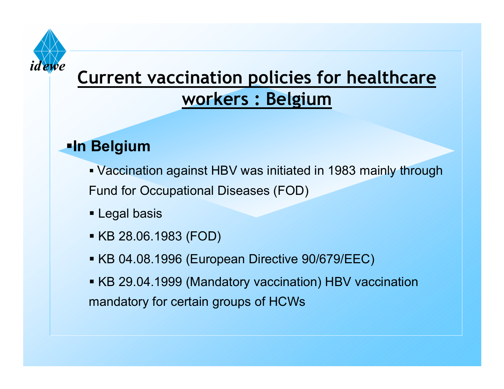

## **Current vaccination policies for healthcare workers : Belgium**

#### **In Belgium**

- Vaccination against HBV was initiated in 1983 mainly through Fund for Occupational Diseases (FOD)
- Legal basis
- KB 28.06.1983 (FOD)
- KB 04.08.1996 (European Directive 90/679/EEC)
- KB 29.04.1999 (Mandatory vaccination) HBV vaccination mandatory for certain groups of HCWs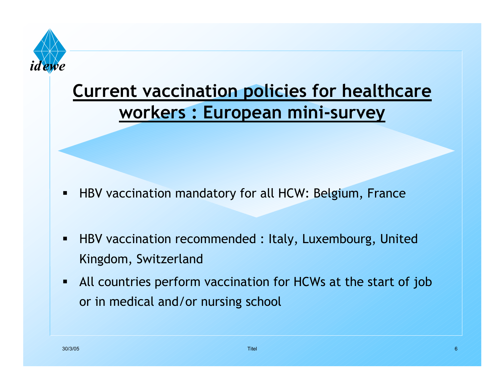

- $\blacksquare$ HBV vaccination mandatory for all HCW: Belgium, France
- $\sqrt{2}$  HBV vaccination recommended : Italy, Luxembourg, United Kingdom, Switzerland
- $\blacksquare$  All countries perform vaccination for HCWs at the start of job or in medical and/or nursing school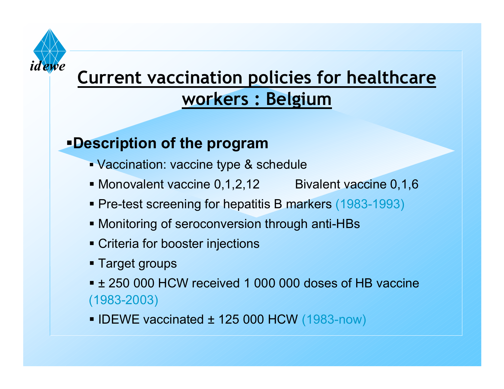

# **Current vaccination policies for healthcare workers : Belgium**

#### **Description of the program**

- Vaccination: vaccine type & schedule
- Monovalent vaccine 0,1,2,12 Bivalent vaccine 0,1,6
- **Pre-test screening for hepatitis B markers (1983-1993)**
- **Monitoring of seroconversion through anti-HBs**
- **Criteria for booster injections**
- **Target groups**
- ± 250 000 HCW received 1 000 000 doses of HB vaccine (1983-2003)
- $\blacksquare$  IDEWE vaccinated  $\pm$  125 000 HCW (1983-now)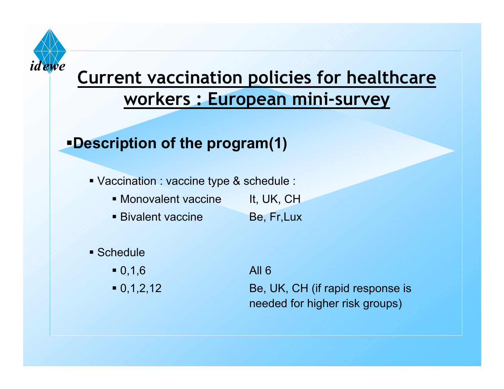

#### **Description of the program(1)**

- Vaccination : vaccine type & schedule :
	- Monovalent vaccine It, UK, CH
	- Bivalent vaccine Be, Fr,Lux

#### **Schedule**

- $\blacksquare$  0,1,6  $\hspace{0.15cm}$  0,1,6  $\hspace{0.15cm}$  All 6
- $-0,1,2,12$

Be, UK, CH (if rapid response is needed for higher risk groups)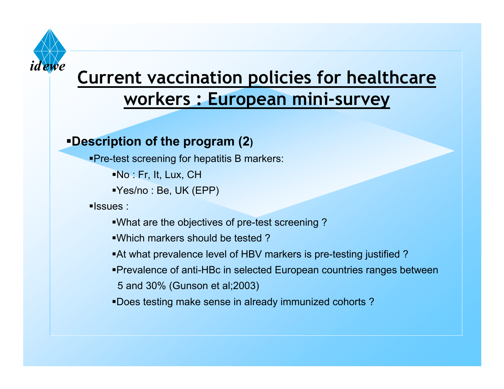

#### **Description of the program (2)**

**Pre-test screening for hepatitis B markers:** 

No : Fr, It, Lux, CH

Yes/no : Be, UK (EPP)

**Issues**:

What are the objectives of pre-test screening ?

Which markers should be tested ?

At what prevalence level of HBV markers is pre-testing justified ?

Prevalence of anti-HBc in selected European countries ranges between

5 and 30% (Gunson et al;2003)

Does testing make sense in already immunized cohorts ?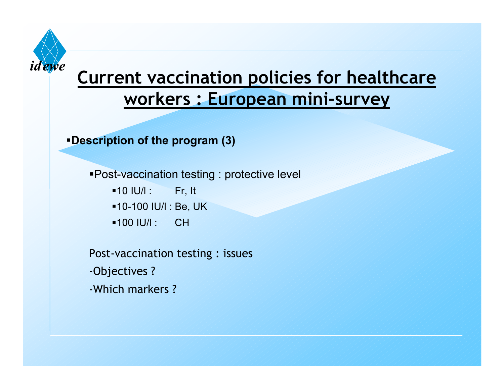

**Description of the program (3)**

Post-vaccination testing : protective level

- $-10$  IU/l : Fr, It
- 10-100 IU/l : Be, UK
- 100 IU/l : CH

Post-vaccination testing : issues -Objectives ? -Which markers ?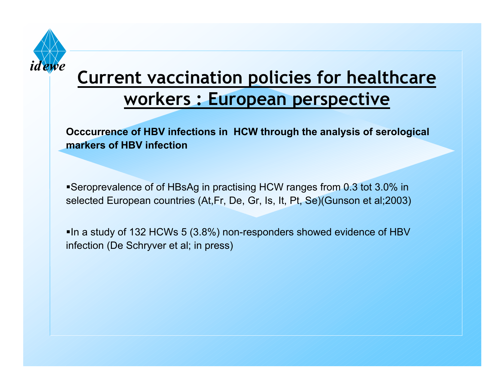

#### **Current vaccination policies for healthcare workers : European perspective**

**Occcurrence of HBV infections in HCW through the analysis of serological markers of HBV infection**

Seroprevalence of of HBsAg in practising HCW ranges from 0.3 tot 3.0% in selected European countries (At,Fr, De, Gr, Is, It, Pt, Se)(Gunson et al;2003)

In a study of 132 HCWs 5 (3.8%) non-responders showed evidence of HBV infection (De Schryver et al; in press)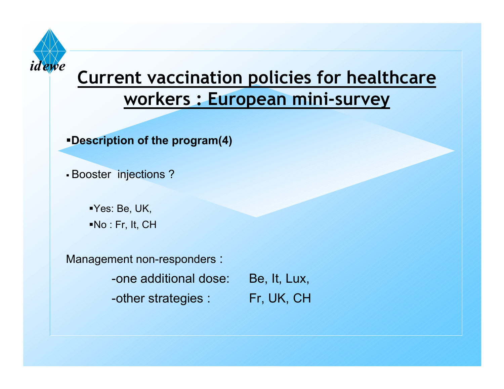

**Description of the program(4)**

Booster injections ?

Yes: Be, UK, No : Fr, It, CH

Management non-responders :

-one additional dose: Be, It, Lux,

-other strategies :  $\mathbb{Z} \times \mathbb{F}$  Fr, UK, CH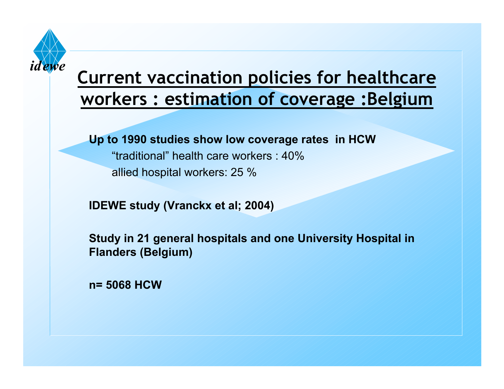

#### **Current vaccination policies for healthcare workers : estimation of coverage :Belgium**

**Up to 1990 studies show low coverage rates in HCW**

"traditional" health care workers : 40%

allied hospital workers: 25 %

**IDEWE study (Vranckx et al; 2004)**

**Study in 21 general hospitals and one University Hospital in Flanders (Belgium)** 

**n= 5068 HCW**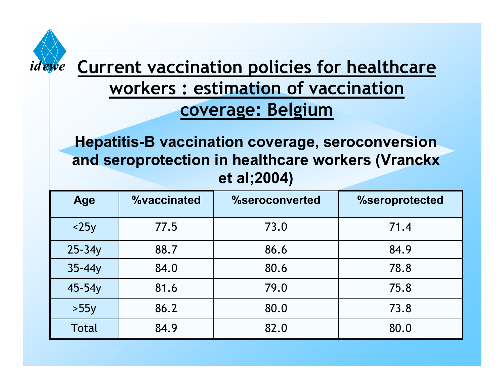

#### **Current vaccination policies for healthcare workers : estimation of vaccination coverage: Belgium**

**Hepatitis-B vaccination coverage, seroconversion and seroprotection in healthcare workers (Vranckx et al;2004)**

| Age        | <b>%vaccinated</b> | %seroconverted | %seroprotected |
|------------|--------------------|----------------|----------------|
| $<$ 25 $y$ | 77.5               | 73.0           | 71.4           |
| $25 - 34y$ | 88.7               | 86.6           | 84.9           |
| $35 - 44y$ | 84.0               | 80.6           | 78.8           |
| 45-54y     | 81.6               | 79.0           | 75.8           |
| >55y       | 86.2               | 80.0           | 73.8           |
| Total      | 84.9               | 82.0           | 80.0           |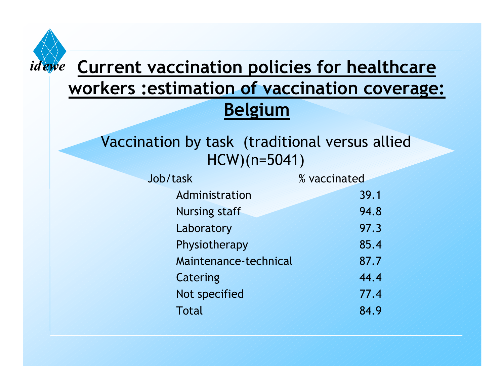

#### *idewe* **Current vaccination policies for healthcare workers :estimation of vaccination coverage: Belgium**

Vaccination by task (traditional versus allied HCW)(n=5041)

 $\mathbf{J}$ 

| ob/task               | % vaccinated |  |
|-----------------------|--------------|--|
| Administration        | 39.1         |  |
| <b>Nursing staff</b>  | 94.8         |  |
| Laboratory            | 97.3         |  |
| Physiotherapy         | 85.4         |  |
| Maintenance-technical | 87.7         |  |
| <b>Catering</b>       | 44.4         |  |
| Not specified         | 77.4         |  |
| <b>Total</b>          | 84.9         |  |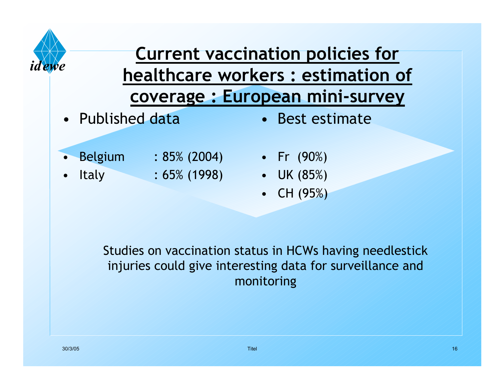

# **Current vaccination policies for healthcare workers : estimation of coverage : European mini-survey**

• Published data

• Best estimate

•

•

- Belgium : 85% (2004) Fr (90%)
	- Italy : 65% (1998)
- 
- UK (85%)
- CH (95%)

Studies on vaccination status in HCWs having needlestick injuries could give interesting data for surveillance and monitoring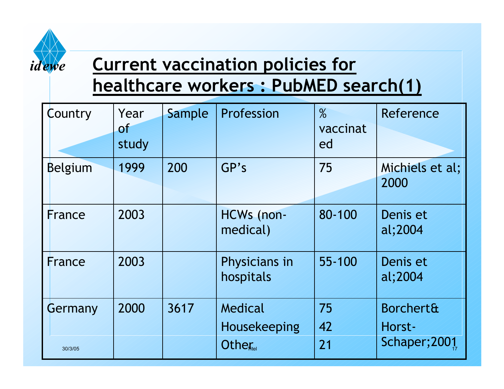

# **Current vaccination policies for**

# **healthcare workers : PubMED search(1)**

| Country | Year<br>Θf<br>study | Sample | Profession                 | $\%$<br>vaccinat<br>ed | Reference                      |
|---------|---------------------|--------|----------------------------|------------------------|--------------------------------|
| Belgium | 1999                | 200    | GP's                       | 75                     | Michiels et al;<br>2000        |
| France  | 2003                |        | HCWs (non-<br>medical)     | 80-100                 | Denis et<br>al;2004            |
| France  | 2003                |        | Physicians in<br>hospitals | 55-100                 | Denis et<br>al;2004            |
| Germany | 2000                | 3617   | Medical<br>Housekeeping    | 75<br>42               | <b>Borchert&amp;</b><br>Horst- |
| 30/3/05 |                     |        | Other                      | 21                     | Schaper;2001                   |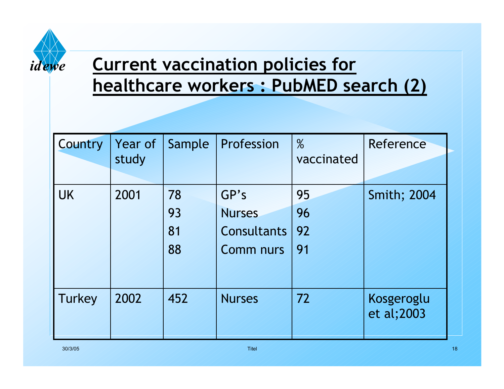

# **Current vaccination policies for healthcare workers : PubMED search (2)**

| Country   | Year of<br>study | Sample               | Profession                                                      | $\%$<br>vaccinated   | Reference                |
|-----------|------------------|----------------------|-----------------------------------------------------------------|----------------------|--------------------------|
| <b>UK</b> | 2001             | 78<br>93<br>81<br>88 | GP's<br><b>Nurses</b><br><b>Consultants</b><br><b>Comm nurs</b> | 95<br>96<br>92<br>91 | <b>Smith; 2004</b>       |
| Turkey    | 2002             | 452                  | <b>Nurses</b>                                                   | 72                   | Kosgeroglu<br>et al;2003 |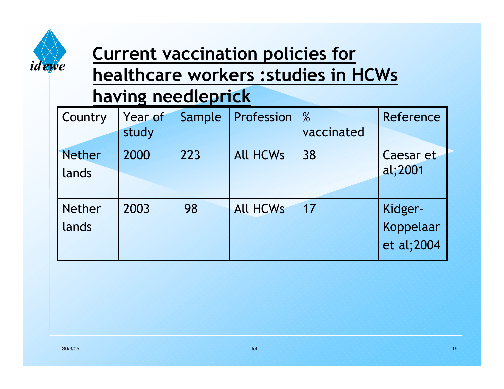

# **Current vaccination policies for healthcare workers :studies in HCWs**

#### **having needleprick**

| <b>Country</b>         | Year of<br>study | Sample | Profession      | $\%$<br>vaccinated | Reference                          |
|------------------------|------------------|--------|-----------------|--------------------|------------------------------------|
| <b>Nether</b><br>lands | 2000             | 223    | <b>All HCWs</b> | 38                 | Caesar et<br>al;2001               |
| <b>Nether</b><br>lands | 2003             | 98     | <b>All HCWs</b> | 17                 | Kidger-<br>Koppelaar<br>et al;2004 |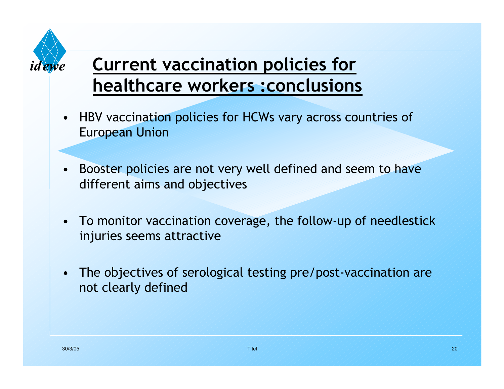

# **Current vaccination policies for healthcare workers :conclusions**

- $\bullet$  HBV vaccination policies for HCWs vary across countries of European Union
- • Booster policies are not very well defined and seem to have different aims and objectives
- To monitor vaccination coverage, the follow-up of needlestick injuries seems attractive
- • The objectives of serological testing pre/post-vaccination are not clearly defined